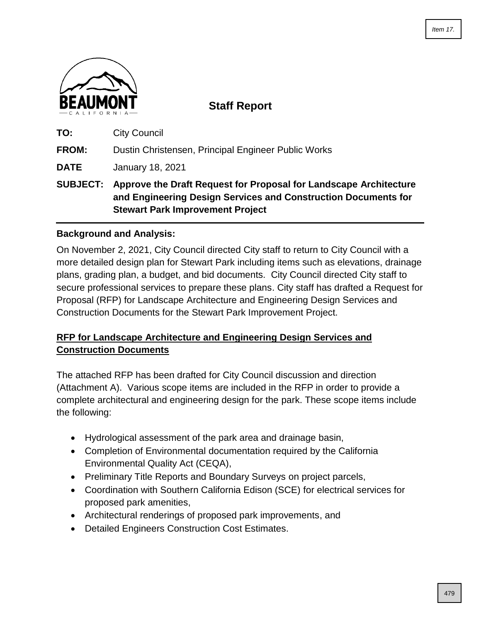

**Staff Report**

**TO:** City Council **FROM:** Dustin Christensen, Principal Engineer Public Works

**DATE** January 18, 2021

**SUBJECT: Approve the Draft Request for Proposal for Landscape Architecture and Engineering Design Services and Construction Documents for Stewart Park Improvement Project**

### **Background and Analysis:**

On November 2, 2021, City Council directed City staff to return to City Council with a more detailed design plan for Stewart Park including items such as elevations, drainage plans, grading plan, a budget, and bid documents. City Council directed City staff to secure professional services to prepare these plans. City staff has drafted a Request for Proposal (RFP) for Landscape Architecture and Engineering Design Services and Construction Documents for the Stewart Park Improvement Project.

### **RFP for Landscape Architecture and Engineering Design Services and Construction Documents**

The attached RFP has been drafted for City Council discussion and direction (Attachment A). Various scope items are included in the RFP in order to provide a complete architectural and engineering design for the park. These scope items include the following:

- Hydrological assessment of the park area and drainage basin,
- Completion of Environmental documentation required by the California Environmental Quality Act (CEQA),
- Preliminary Title Reports and Boundary Surveys on project parcels,
- Coordination with Southern California Edison (SCE) for electrical services for proposed park amenities,
- Architectural renderings of proposed park improvements, and
- Detailed Engineers Construction Cost Estimates.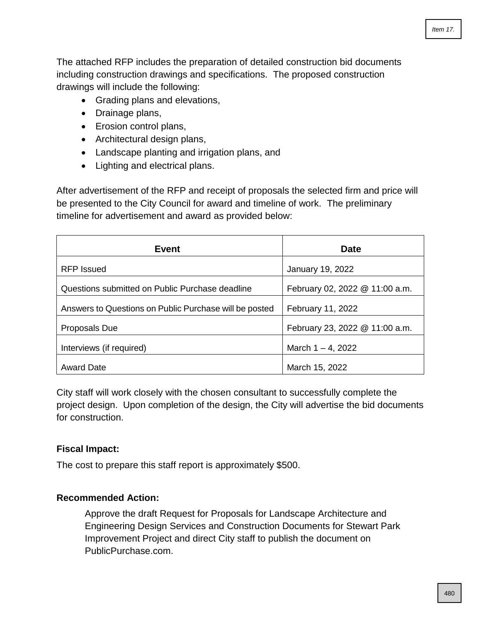The attached RFP includes the preparation of detailed construction bid documents including construction drawings and specifications. The proposed construction drawings will include the following:

- Grading plans and elevations,
- Drainage plans,
- Erosion control plans,
- Architectural design plans,
- Landscape planting and irrigation plans, and
- Lighting and electrical plans.

After advertisement of the RFP and receipt of proposals the selected firm and price will be presented to the City Council for award and timeline of work. The preliminary timeline for advertisement and award as provided below:

| Event                                                  | <b>Date</b>                    |
|--------------------------------------------------------|--------------------------------|
| RFP Issued                                             | January 19, 2022               |
| Questions submitted on Public Purchase deadline        | February 02, 2022 @ 11:00 a.m. |
| Answers to Questions on Public Purchase will be posted | February 11, 2022              |
| Proposals Due                                          | February 23, 2022 @ 11:00 a.m. |
| Interviews (if required)                               | March $1 - 4$ , 2022           |
| <b>Award Date</b>                                      | March 15, 2022                 |

City staff will work closely with the chosen consultant to successfully complete the project design. Upon completion of the design, the City will advertise the bid documents for construction.

### **Fiscal Impact:**

The cost to prepare this staff report is approximately \$500.

### **Recommended Action:**

Approve the draft Request for Proposals for Landscape Architecture and Engineering Design Services and Construction Documents for Stewart Park Improvement Project and direct City staff to publish the document on PublicPurchase.com.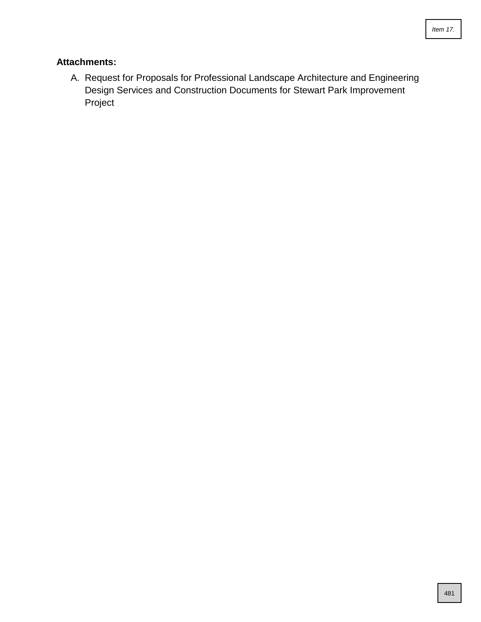### **Attachments:**

A. Request for Proposals for Professional Landscape Architecture and Engineering Design Services and Construction Documents for Stewart Park Improvement Project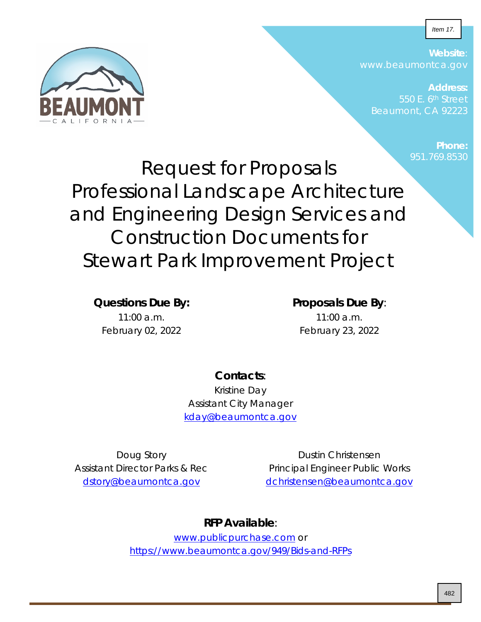Item 17.



**Website**: www.beaumontca.gov

**Address:** Beaumont, CA 92223

> **Phone:** 951.769.8530

Request for Proposals Professional Landscape Architecture and Engineering Design Services and Construction Documents for Stewart Park Improvement Project

**Questions Due By:**

 $11:00$  a.m. February 02, 2022

### **Proposals Due By**:

11:00 a.m. February 23, 2022

### **Contacts**:

Kristine Day Assistant City Manager [kday@beaumontca.gov](mailto:kday@beaumontca.gov)

Doug Story Assistant Director Parks & Rec [dstory@beaumontca.gov](mailto:dstory@beaumontca.gov)

Dustin Christensen Principal Engineer Public Works [dchristensen@beaumontca.gov](mailto:dchristensen@beaumontca.gov)

### **RFP Available**:

[www.publicpurchase.com](http://www.publicpurchase.com/) or <https://www.beaumontca.gov/949/Bids-and-RFPs>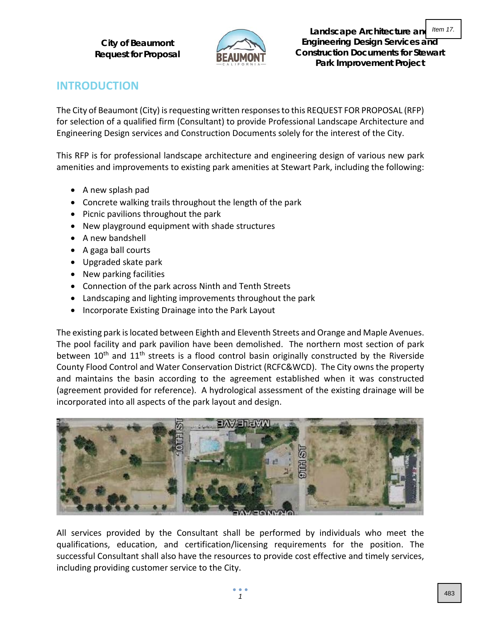

**Landscape Architecture and Engineering Design Services and Construction Documents for Stewart Park Improvement Project** Item 17.

## **INTRODUCTION**

The City of Beaumont (City) is requesting written responses to this REQUEST FOR PROPOSAL (RFP) for selection of a qualified firm (Consultant) to provide Professional Landscape Architecture and Engineering Design services and Construction Documents solely for the interest of the City.

This RFP is for professional landscape architecture and engineering design of various new park amenities and improvements to existing park amenities at Stewart Park, including the following:

- A new splash pad
- Concrete walking trails throughout the length of the park
- Picnic pavilions throughout the park
- New playground equipment with shade structures
- A new bandshell
- A gaga ball courts
- Upgraded skate park
- New parking facilities
- Connection of the park across Ninth and Tenth Streets
- Landscaping and lighting improvements throughout the park
- Incorporate Existing Drainage into the Park Layout

The existing park is located between Eighth and Eleventh Streets and Orange and Maple Avenues. The pool facility and park pavilion have been demolished. The northern most section of park between  $10<sup>th</sup>$  and  $11<sup>th</sup>$  streets is a flood control basin originally constructed by the Riverside County Flood Control and Water Conservation District (RCFC&WCD). The City owns the property and maintains the basin according to the agreement established when it was constructed (agreement provided for reference). A hydrological assessment of the existing drainage will be incorporated into all aspects of the park layout and design.



All services provided by the Consultant shall be performed by individuals who meet the qualifications, education, and certification/licensing requirements for the position. The successful Consultant shall also have the resources to provide cost effective and timely services, including providing customer service to the City.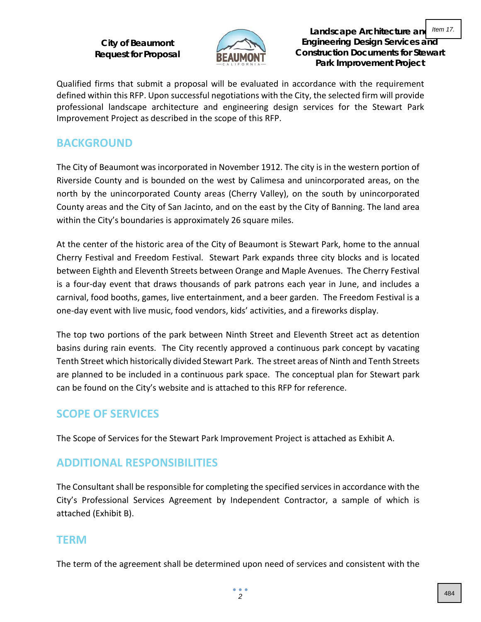

**Landscape Architecture and Engineering Design Services and Construction Documents for Stewart Park Improvement Project** Item 17.

Qualified firms that submit a proposal will be evaluated in accordance with the requirement defined within this RFP. Upon successful negotiations with the City, the selected firm will provide professional landscape architecture and engineering design services for the Stewart Park Improvement Project as described in the scope of this RFP.

### **BACKGROUND**

The City of Beaumont was incorporated in November 1912. The city is in the western portion of Riverside County and is bounded on the west by Calimesa and unincorporated areas, on the north by the unincorporated County areas (Cherry Valley), on the south by unincorporated County areas and the City of San Jacinto, and on the east by the City of Banning. The land area within the City's boundaries is approximately 26 square miles.

At the center of the historic area of the City of Beaumont is Stewart Park, home to the annual Cherry Festival and Freedom Festival. Stewart Park expands three city blocks and is located between Eighth and Eleventh Streets between Orange and Maple Avenues. The Cherry Festival is a four-day event that draws thousands of park patrons each year in June, and includes a carnival, food booths, games, live entertainment, and a beer garden. The Freedom Festival is a one-day event with live music, food vendors, kids' activities, and a fireworks display.

The top two portions of the park between Ninth Street and Eleventh Street act as detention basins during rain events. The City recently approved a continuous park concept by vacating Tenth Street which historically divided Stewart Park. The street areas of Ninth and Tenth Streets are planned to be included in a continuous park space. The conceptual plan for Stewart park can be found on the City's website and is attached to this RFP for reference.

## **SCOPE OF SERVICES**

The Scope of Services for the Stewart Park Improvement Project is attached as Exhibit A.

## **ADDITIONAL RESPONSIBILITIES**

The Consultant shall be responsible for completing the specified services in accordance with the City's Professional Services Agreement by Independent Contractor, a sample of which is attached (Exhibit B).

### **TERM**

The term of the agreement shall be determined upon need of services and consistent with the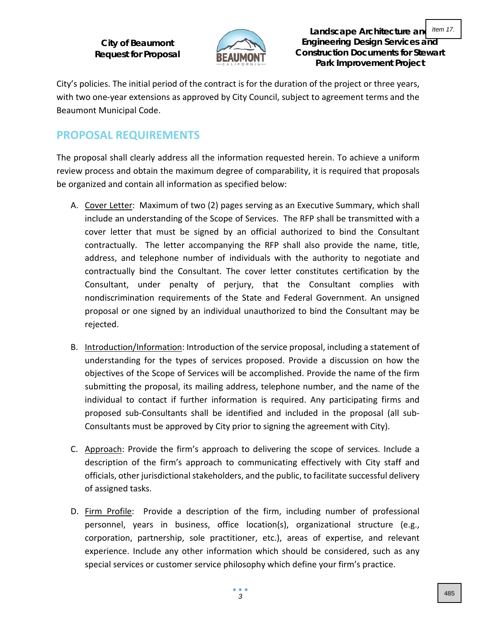

**Landscape Architecture and Engineering Design Services and Construction Documents for Stewart Park Improvement Project**

City's policies. The initial period of the contract is for the duration of the project or three years, with two one-year extensions as approved by City Council, subject to agreement terms and the Beaumont Municipal Code.

## **PROPOSAL REQUIREMENTS**

The proposal shall clearly address all the information requested herein. To achieve a uniform review process and obtain the maximum degree of comparability, it is required that proposals be organized and contain all information as specified below:

- A. Cover Letter: Maximum of two (2) pages serving as an Executive Summary, which shall include an understanding of the Scope of Services. The RFP shall be transmitted with a cover letter that must be signed by an official authorized to bind the Consultant contractually. The letter accompanying the RFP shall also provide the name, title, address, and telephone number of individuals with the authority to negotiate and contractually bind the Consultant. The cover letter constitutes certification by the Consultant, under penalty of perjury, that the Consultant complies with nondiscrimination requirements of the State and Federal Government. An unsigned proposal or one signed by an individual unauthorized to bind the Consultant may be rejected.
- B. Introduction/Information: Introduction of the service proposal, including a statement of understanding for the types of services proposed. Provide a discussion on how the objectives of the Scope of Services will be accomplished. Provide the name of the firm submitting the proposal, its mailing address, telephone number, and the name of the individual to contact if further information is required. Any participating firms and proposed sub-Consultants shall be identified and included in the proposal (all sub-Consultants must be approved by City prior to signing the agreement with City).
- C. Approach: Provide the firm's approach to delivering the scope of services. Include a description of the firm's approach to communicating effectively with City staff and officials, other jurisdictional stakeholders, and the public, to facilitate successful delivery of assigned tasks.
- D. Firm Profile: Provide a description of the firm, including number of professional personnel, years in business, office location(s), organizational structure (e.g., corporation, partnership, sole practitioner, etc.), areas of expertise, and relevant experience. Include any other information which should be considered, such as any special services or customer service philosophy which define your firm's practice.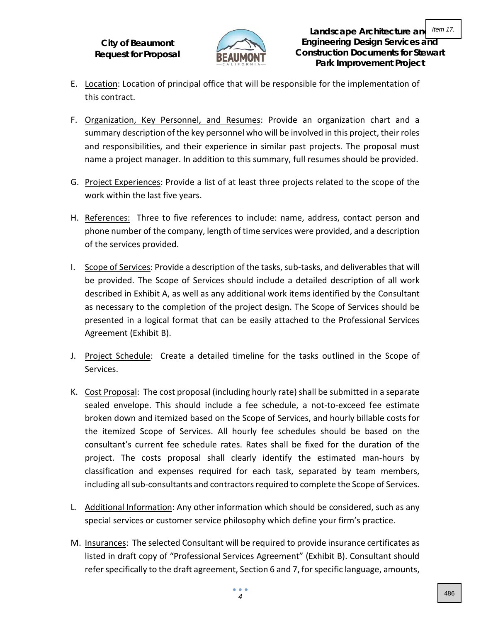

- E. Location: Location of principal office that will be responsible for the implementation of this contract.
- F. Organization, Key Personnel, and Resumes: Provide an organization chart and a summary description of the key personnel who will be involved in this project, their roles and responsibilities, and their experience in similar past projects. The proposal must name a project manager. In addition to this summary, full resumes should be provided.
- G. Project Experiences: Provide a list of at least three projects related to the scope of the work within the last five years.
- H. References: Three to five references to include: name, address, contact person and phone number of the company, length of time services were provided, and a description of the services provided.
- I. Scope of Services: Provide a description of the tasks, sub-tasks, and deliverables that will be provided. The Scope of Services should include a detailed description of all work described in Exhibit A, as well as any additional work items identified by the Consultant as necessary to the completion of the project design. The Scope of Services should be presented in a logical format that can be easily attached to the Professional Services Agreement (Exhibit B).
- J. Project Schedule: Create a detailed timeline for the tasks outlined in the Scope of Services.
- K. Cost Proposal: The cost proposal (including hourly rate) shall be submitted in a separate sealed envelope. This should include a fee schedule, a not-to-exceed fee estimate broken down and itemized based on the Scope of Services, and hourly billable costs for the itemized Scope of Services. All hourly fee schedules should be based on the consultant's current fee schedule rates. Rates shall be fixed for the duration of the project. The costs proposal shall clearly identify the estimated man-hours by classification and expenses required for each task, separated by team members, including all sub-consultants and contractors required to complete the Scope of Services.
- L. Additional Information: Any other information which should be considered, such as any special services or customer service philosophy which define your firm's practice.
- M. Insurances: The selected Consultant will be required to provide insurance certificates as listed in draft copy of "Professional Services Agreement" (Exhibit B). Consultant should refer specifically to the draft agreement, Section 6 and 7, for specific language, amounts,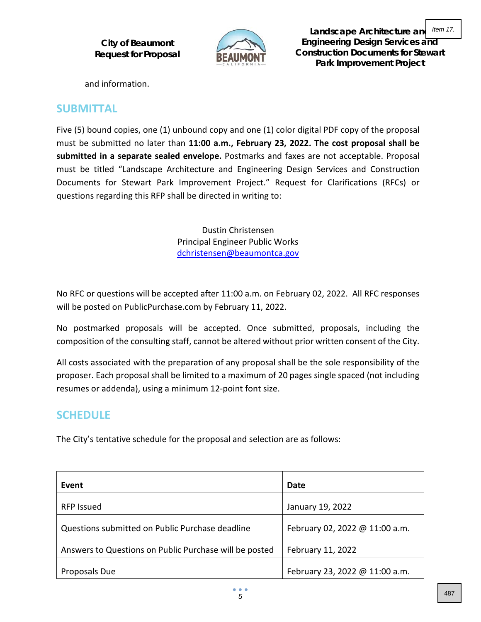

**Landscape Architecture and Engineering Design Services and Construction Documents for Stewart Park Improvement Project** Item 17.

and information.

### **SUBMITTAL**

Five (5) bound copies, one (1) unbound copy and one (1) color digital PDF copy of the proposal must be submitted no later than **11:00 a.m., February 23, 2022. The cost proposal shall be submitted in a separate sealed envelope.** Postmarks and faxes are not acceptable. Proposal must be titled "Landscape Architecture and Engineering Design Services and Construction Documents for Stewart Park Improvement Project." Request for Clarifications (RFCs) or questions regarding this RFP shall be directed in writing to:

> Dustin Christensen Principal Engineer Public Works [dchristensen@beaumontca.gov](mailto:dchristensen@beaumontca.gov)

No RFC or questions will be accepted after 11:00 a.m. on February 02, 2022. All RFC responses will be posted on PublicPurchase.com by February 11, 2022.

No postmarked proposals will be accepted. Once submitted, proposals, including the composition of the consulting staff, cannot be altered without prior written consent of the City.

All costs associated with the preparation of any proposal shall be the sole responsibility of the proposer. Each proposal shall be limited to a maximum of 20 pages single spaced (not including resumes or addenda), using a minimum 12-point font size.

# **SCHEDULE**

The City's tentative schedule for the proposal and selection are as follows:

| Event                                                  | Date                           |
|--------------------------------------------------------|--------------------------------|
| <b>RFP Issued</b>                                      | January 19, 2022               |
| Questions submitted on Public Purchase deadline        | February 02, 2022 @ 11:00 a.m. |
| Answers to Questions on Public Purchase will be posted | February 11, 2022              |
| Proposals Due                                          | February 23, 2022 @ 11:00 a.m. |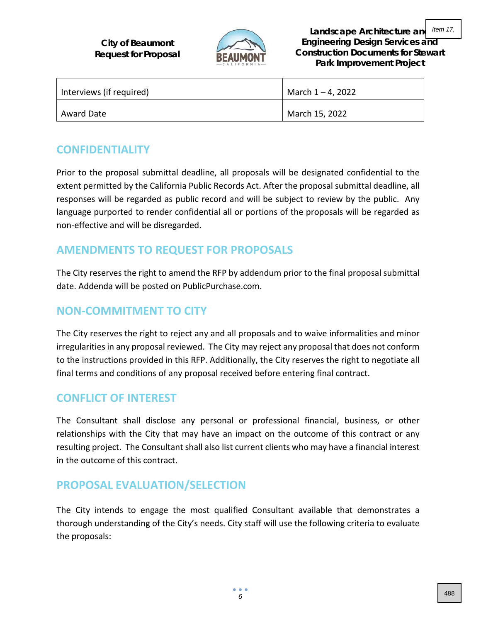

**Landscape Architecture and Engineering Design Services and Construction Documents for Stewart Park Improvement Project** Item 17.

| Interviews (if required) | March $1 - 4$ , 2022 |
|--------------------------|----------------------|
| Award Date               | March 15, 2022       |

## **CONFIDENTIALITY**

Prior to the proposal submittal deadline, all proposals will be designated confidential to the extent permitted by the California Public Records Act. After the proposal submittal deadline, all responses will be regarded as public record and will be subject to review by the public. Any language purported to render confidential all or portions of the proposals will be regarded as non-effective and will be disregarded.

## **AMENDMENTS TO REQUEST FOR PROPOSALS**

The City reserves the right to amend the RFP by addendum prior to the final proposal submittal date. Addenda will be posted on PublicPurchase.com.

## **NON-COMMITMENT TO CITY**

The City reserves the right to reject any and all proposals and to waive informalities and minor irregularities in any proposal reviewed. The City may reject any proposal that does not conform to the instructions provided in this RFP. Additionally, the City reserves the right to negotiate all final terms and conditions of any proposal received before entering final contract.

## **CONFLICT OF INTEREST**

The Consultant shall disclose any personal or professional financial, business, or other relationships with the City that may have an impact on the outcome of this contract or any resulting project. The Consultant shall also list current clients who may have a financial interest in the outcome of this contract.

## **PROPOSAL EVALUATION/SELECTION**

The City intends to engage the most qualified Consultant available that demonstrates a thorough understanding of the City's needs. City staff will use the following criteria to evaluate the proposals: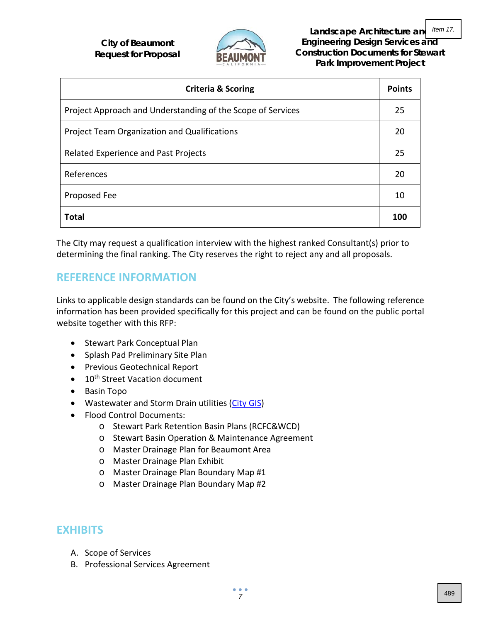

**Landscape Architecture and Engineering Design Services and Construction Documents for Stewart Park Improvement Project**

| <b>Criteria &amp; Scoring</b>                               |     |
|-------------------------------------------------------------|-----|
| Project Approach and Understanding of the Scope of Services | 25  |
| Project Team Organization and Qualifications                | 20  |
| Related Experience and Past Projects                        | 25  |
| References                                                  | 20  |
| Proposed Fee                                                | 10  |
| <b>Total</b>                                                | 100 |

The City may request a qualification interview with the highest ranked Consultant(s) prior to determining the final ranking. The City reserves the right to reject any and all proposals.

## **REFERENCE INFORMATION**

Links to applicable design standards can be found on the City's website. The following reference information has been provided specifically for this project and can be found on the public portal website together with this RFP:

- Stewart Park Conceptual Plan
- Splash Pad Preliminary Site Plan
- Previous Geotechnical Report
- 10<sup>th</sup> Street Vacation document
- Basin Topo
- Wastewater and Storm Drain utilities [\(City GIS\)](https://www.beaumontca.gov/983/GIS)
- Flood Control Documents:
	- o Stewart Park Retention Basin Plans (RCFC&WCD)
	- o Stewart Basin Operation & Maintenance Agreement
	- o Master Drainage Plan for Beaumont Area
	- o Master Drainage Plan Exhibit
	- o Master Drainage Plan Boundary Map #1
	- o Master Drainage Plan Boundary Map #2

### **EXHIBITS**

- A. Scope of Services
- B. Professional Services Agreement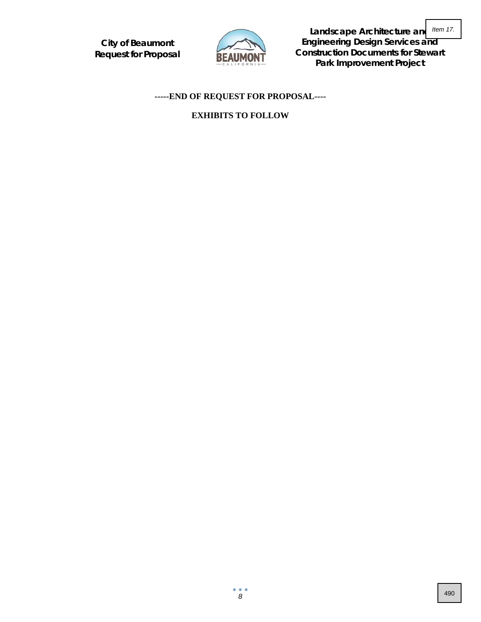

**Landscape Architecture and Engineering Design Services and Construction Documents for Stewart Park Improvement Project**

### **-----END OF REQUEST FOR PROPOSAL----**

#### **EXHIBITS TO FOLLOW**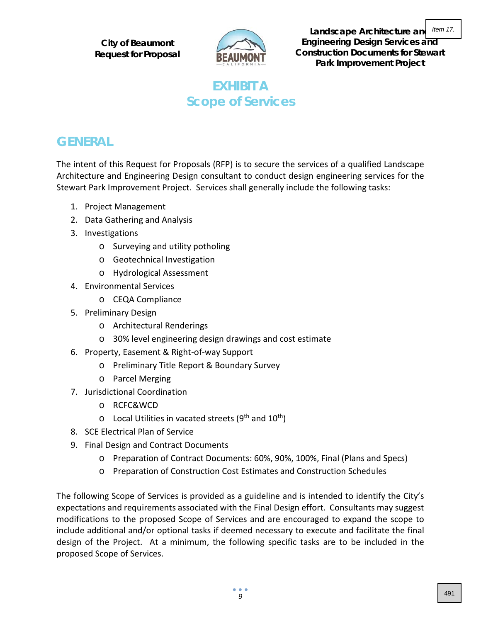

**Landscape Architecture and Engineering Design Services and Construction Documents for Stewart Park Improvement Project** Item 17.

# **EXHIBIT A Scope of Services**

# **GENERAL**

The intent of this Request for Proposals (RFP) is to secure the services of a qualified Landscape Architecture and Engineering Design consultant to conduct design engineering services for the Stewart Park Improvement Project. Services shall generally include the following tasks:

- 1. Project Management
- 2. Data Gathering and Analysis
- 3. Investigations
	- o Surveying and utility potholing
	- o Geotechnical Investigation
	- o Hydrological Assessment
- 4. Environmental Services
	- o CEQA Compliance
- 5. Preliminary Design
	- o Architectural Renderings
	- o 30% level engineering design drawings and cost estimate
- 6. Property, Easement & Right-of-way Support
	- o Preliminary Title Report & Boundary Survey
	- o Parcel Merging
- 7. Jurisdictional Coordination
	- o RCFC&WCD
	- $\circ$  Local Utilities in vacated streets (9<sup>th</sup> and 10<sup>th</sup>)
- 8. SCE Electrical Plan of Service
- 9. Final Design and Contract Documents
	- o Preparation of Contract Documents: 60%, 90%, 100%, Final (Plans and Specs)
	- o Preparation of Construction Cost Estimates and Construction Schedules

The following Scope of Services is provided as a guideline and is intended to identify the City's expectations and requirements associated with the Final Design effort. Consultants may suggest modifications to the proposed Scope of Services and are encouraged to expand the scope to include additional and/or optional tasks if deemed necessary to execute and facilitate the final design of the Project. At a minimum, the following specific tasks are to be included in the proposed Scope of Services.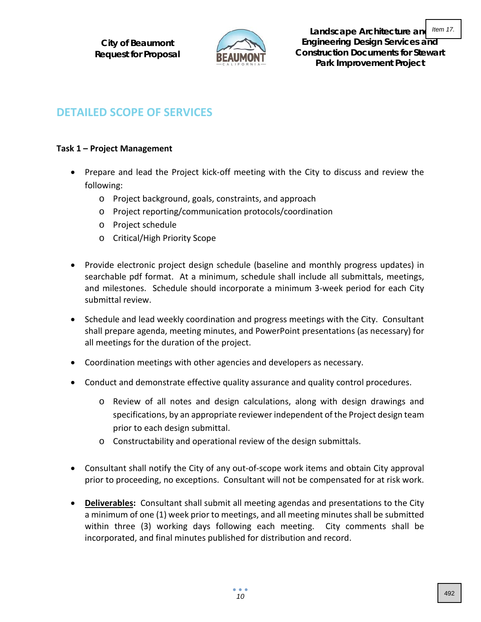

**Landscape Architecture and Engineering Design Services and Construction Documents for Stewart Park Improvement Project** Item 17.

## **DETAILED SCOPE OF SERVICES**

### **Task 1 – Project Management**

- Prepare and lead the Project kick-off meeting with the City to discuss and review the following:
	- o Project background, goals, constraints, and approach
	- o Project reporting/communication protocols/coordination
	- o Project schedule
	- o Critical/High Priority Scope
- Provide electronic project design schedule (baseline and monthly progress updates) in searchable pdf format. At a minimum, schedule shall include all submittals, meetings, and milestones. Schedule should incorporate a minimum 3-week period for each City submittal review.
- Schedule and lead weekly coordination and progress meetings with the City. Consultant shall prepare agenda, meeting minutes, and PowerPoint presentations (as necessary) for all meetings for the duration of the project.
- Coordination meetings with other agencies and developers as necessary.
- Conduct and demonstrate effective quality assurance and quality control procedures.
	- o Review of all notes and design calculations, along with design drawings and specifications, by an appropriate reviewer independent of the Project design team prior to each design submittal.
	- o Constructability and operational review of the design submittals.
- Consultant shall notify the City of any out-of-scope work items and obtain City approval prior to proceeding, no exceptions. Consultant will not be compensated for at risk work.
- **Deliverables:** Consultant shall submit all meeting agendas and presentations to the City a minimum of one (1) week prior to meetings, and all meeting minutes shall be submitted within three (3) working days following each meeting. City comments shall be incorporated, and final minutes published for distribution and record.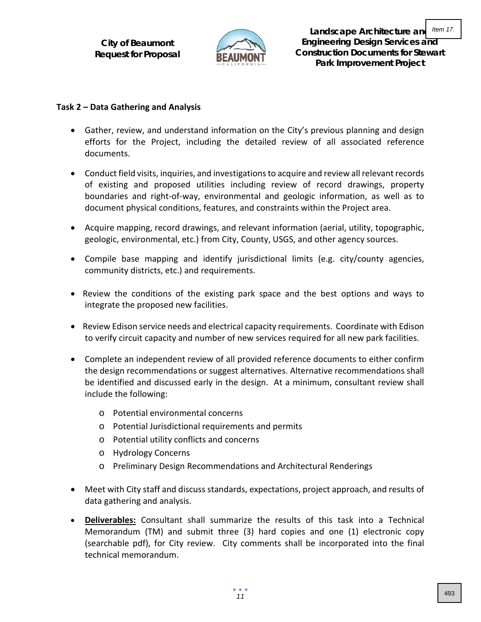

**Landscape Architecture and Engineering Design Services and Construction Documents for Stewart Park Improvement Project** Item 17.

#### **Task 2 – Data Gathering and Analysis**

- Gather, review, and understand information on the City's previous planning and design efforts for the Project, including the detailed review of all associated reference documents.
- Conduct field visits, inquiries, and investigations to acquire and review all relevant records of existing and proposed utilities including review of record drawings, property boundaries and right-of-way, environmental and geologic information, as well as to document physical conditions, features, and constraints within the Project area.
- Acquire mapping, record drawings, and relevant information (aerial, utility, topographic, geologic, environmental, etc.) from City, County, USGS, and other agency sources.
- Compile base mapping and identify jurisdictional limits (e.g. city/county agencies, community districts, etc.) and requirements.
- Review the conditions of the existing park space and the best options and ways to integrate the proposed new facilities.
- Review Edison service needs and electrical capacity requirements. Coordinate with Edison to verify circuit capacity and number of new services required for all new park facilities.
- Complete an independent review of all provided reference documents to either confirm the design recommendations or suggest alternatives. Alternative recommendations shall be identified and discussed early in the design. At a minimum, consultant review shall include the following:
	- o Potential environmental concerns
	- o Potential Jurisdictional requirements and permits
	- o Potential utility conflicts and concerns
	- o Hydrology Concerns
	- o Preliminary Design Recommendations and Architectural Renderings
- Meet with City staff and discuss standards, expectations, project approach, and results of data gathering and analysis.
- **Deliverables:** Consultant shall summarize the results of this task into a Technical Memorandum (TM) and submit three (3) hard copies and one (1) electronic copy (searchable pdf), for City review. City comments shall be incorporated into the final technical memorandum.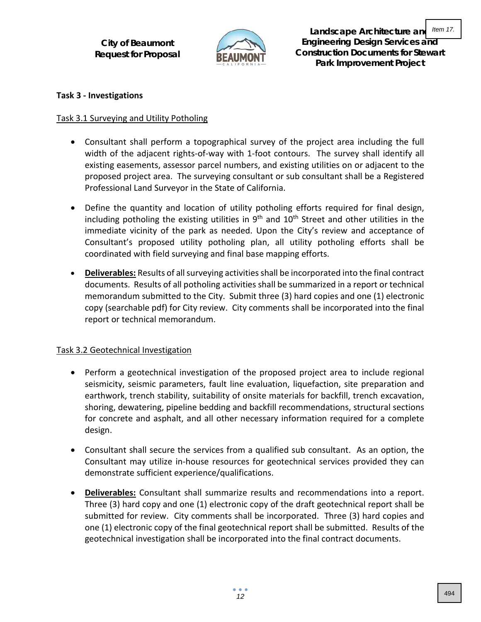

**Landscape Architecture and Engineering Design Services and Construction Documents for Stewart Park Improvement Project** Item 17.

#### **Task 3 - Investigations**

#### Task 3.1 Surveying and Utility Potholing

- Consultant shall perform a topographical survey of the project area including the full width of the adjacent rights-of-way with 1-foot contours. The survey shall identify all existing easements, assessor parcel numbers, and existing utilities on or adjacent to the proposed project area. The surveying consultant or sub consultant shall be a Registered Professional Land Surveyor in the State of California.
- Define the quantity and location of utility potholing efforts required for final design, including potholing the existing utilities in  $9<sup>th</sup>$  and  $10<sup>th</sup>$  Street and other utilities in the immediate vicinity of the park as needed. Upon the City's review and acceptance of Consultant's proposed utility potholing plan, all utility potholing efforts shall be coordinated with field surveying and final base mapping efforts.
- **Deliverables:** Results of all surveying activities shall be incorporated into the final contract documents. Results of all potholing activities shall be summarized in a report or technical memorandum submitted to the City. Submit three (3) hard copies and one (1) electronic copy (searchable pdf) for City review. City comments shall be incorporated into the final report or technical memorandum.

### Task 3.2 Geotechnical Investigation

- Perform a geotechnical investigation of the proposed project area to include regional seismicity, seismic parameters, fault line evaluation, liquefaction, site preparation and earthwork, trench stability, suitability of onsite materials for backfill, trench excavation, shoring, dewatering, pipeline bedding and backfill recommendations, structural sections for concrete and asphalt, and all other necessary information required for a complete design.
- Consultant shall secure the services from a qualified sub consultant. As an option, the Consultant may utilize in-house resources for geotechnical services provided they can demonstrate sufficient experience/qualifications.
- **Deliverables:** Consultant shall summarize results and recommendations into a report. Three (3) hard copy and one (1) electronic copy of the draft geotechnical report shall be submitted for review. City comments shall be incorporated. Three (3) hard copies and one (1) electronic copy of the final geotechnical report shall be submitted. Results of the geotechnical investigation shall be incorporated into the final contract documents.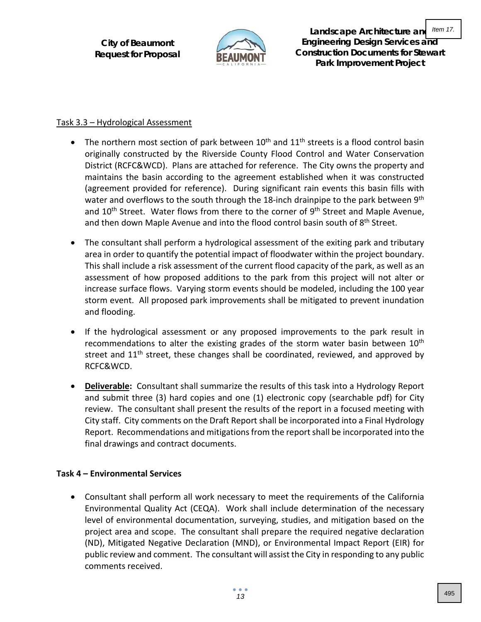

**Landscape Architecture and Engineering Design Services and Construction Documents for Stewart Park Improvement Project**

### Task 3.3 – Hydrological Assessment

- The northern most section of park between  $10^{th}$  and  $11^{th}$  streets is a flood control basin originally constructed by the Riverside County Flood Control and Water Conservation District (RCFC&WCD). Plans are attached for reference. The City owns the property and maintains the basin according to the agreement established when it was constructed (agreement provided for reference). During significant rain events this basin fills with water and overflows to the south through the 18-inch drainpipe to the park between  $9<sup>th</sup>$ and 10<sup>th</sup> Street. Water flows from there to the corner of 9<sup>th</sup> Street and Maple Avenue, and then down Maple Avenue and into the flood control basin south of 8<sup>th</sup> Street.
- The consultant shall perform a hydrological assessment of the exiting park and tributary area in order to quantify the potential impact of floodwater within the project boundary. This shall include a risk assessment of the current flood capacity of the park, as well as an assessment of how proposed additions to the park from this project will not alter or increase surface flows. Varying storm events should be modeled, including the 100 year storm event. All proposed park improvements shall be mitigated to prevent inundation and flooding.
- If the hydrological assessment or any proposed improvements to the park result in recommendations to alter the existing grades of the storm water basin between  $10<sup>th</sup>$ street and  $11<sup>th</sup>$  street, these changes shall be coordinated, reviewed, and approved by RCFC&WCD.
- **Deliverable:** Consultant shall summarize the results of this task into a Hydrology Report and submit three (3) hard copies and one (1) electronic copy (searchable pdf) for City review. The consultant shall present the results of the report in a focused meeting with City staff. City comments on the Draft Report shall be incorporated into a Final Hydrology Report. Recommendations and mitigations from the reportshall be incorporated into the final drawings and contract documents.

### **Task 4 – Environmental Services**

• Consultant shall perform all work necessary to meet the requirements of the California Environmental Quality Act (CEQA). Work shall include determination of the necessary level of environmental documentation, surveying, studies, and mitigation based on the project area and scope. The consultant shall prepare the required negative declaration (ND), Mitigated Negative Declaration (MND), or Environmental Impact Report (EIR) for public review and comment. The consultant will assist the City in responding to any public comments received.

Item 17.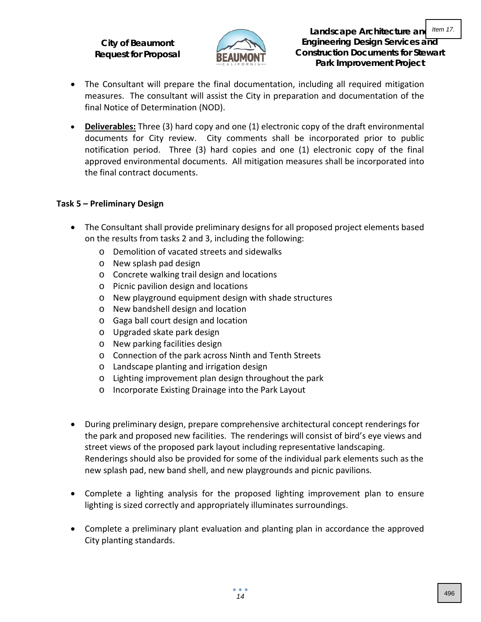

**Landscape Architecture and Engineering Design Services and Construction Documents for Stewart Park Improvement Project** Item 17.

- The Consultant will prepare the final documentation, including all required mitigation measures. The consultant will assist the City in preparation and documentation of the final Notice of Determination (NOD).
- **Deliverables:** Three (3) hard copy and one (1) electronic copy of the draft environmental documents for City review. City comments shall be incorporated prior to public notification period. Three (3) hard copies and one (1) electronic copy of the final approved environmental documents. All mitigation measures shall be incorporated into the final contract documents.

#### **Task 5 – Preliminary Design**

- The Consultant shall provide preliminary designs for all proposed project elements based on the results from tasks 2 and 3, including the following:
	- o Demolition of vacated streets and sidewalks
	- o New splash pad design
	- o Concrete walking trail design and locations
	- o Picnic pavilion design and locations
	- o New playground equipment design with shade structures
	- o New bandshell design and location
	- o Gaga ball court design and location
	- o Upgraded skate park design
	- o New parking facilities design
	- o Connection of the park across Ninth and Tenth Streets
	- o Landscape planting and irrigation design
	- o Lighting improvement plan design throughout the park
	- o Incorporate Existing Drainage into the Park Layout
- During preliminary design, prepare comprehensive architectural concept renderings for the park and proposed new facilities. The renderings will consist of bird's eye views and street views of the proposed park layout including representative landscaping. Renderings should also be provided for some of the individual park elements such as the new splash pad, new band shell, and new playgrounds and picnic pavilions.
- Complete a lighting analysis for the proposed lighting improvement plan to ensure lighting is sized correctly and appropriately illuminates surroundings.
- Complete a preliminary plant evaluation and planting plan in accordance the approved City planting standards.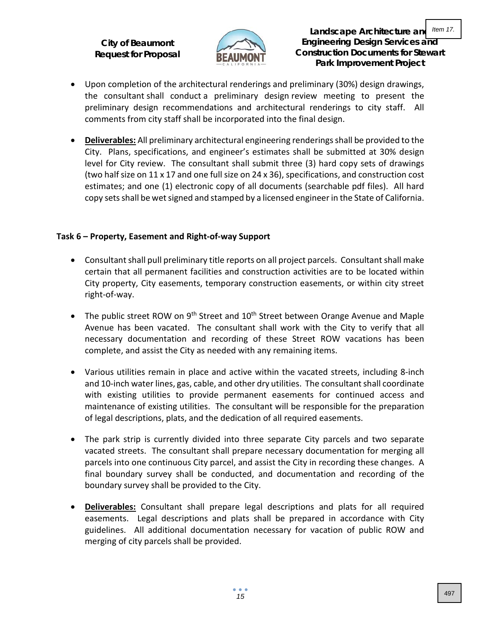

- Upon completion of the architectural renderings and preliminary (30%) design drawings, the consultant shall conduct a preliminary design review meeting to present the preliminary design recommendations and architectural renderings to city staff. All comments from city staff shall be incorporated into the final design.
- **Deliverables:** All preliminary architectural engineering renderings shall be provided to the City. Plans, specifications, and engineer's estimates shall be submitted at 30% design level for City review. The consultant shall submit three (3) hard copy sets of drawings (two half size on 11 x 17 and one full size on 24 x 36), specifications, and construction cost estimates; and one (1) electronic copy of all documents (searchable pdf files). All hard copy sets shall be wet signed and stamped by a licensed engineer in the State of California.

#### **Task 6 – Property, Easement and Right-of-way Support**

- Consultant shall pull preliminary title reports on all project parcels. Consultant shall make certain that all permanent facilities and construction activities are to be located within City property, City easements, temporary construction easements, or within city street right-of-way.
- The public street ROW on 9<sup>th</sup> Street and  $10<sup>th</sup>$  Street between Orange Avenue and Maple Avenue has been vacated. The consultant shall work with the City to verify that all necessary documentation and recording of these Street ROW vacations has been complete, and assist the City as needed with any remaining items.
- Various utilities remain in place and active within the vacated streets, including 8-inch and 10-inch water lines, gas, cable, and other dry utilities. The consultant shall coordinate with existing utilities to provide permanent easements for continued access and maintenance of existing utilities. The consultant will be responsible for the preparation of legal descriptions, plats, and the dedication of all required easements.
- The park strip is currently divided into three separate City parcels and two separate vacated streets. The consultant shall prepare necessary documentation for merging all parcels into one continuous City parcel, and assist the City in recording these changes. A final boundary survey shall be conducted, and documentation and recording of the boundary survey shall be provided to the City.
- **Deliverables:** Consultant shall prepare legal descriptions and plats for all required easements. Legal descriptions and plats shall be prepared in accordance with City guidelines. All additional documentation necessary for vacation of public ROW and merging of city parcels shall be provided.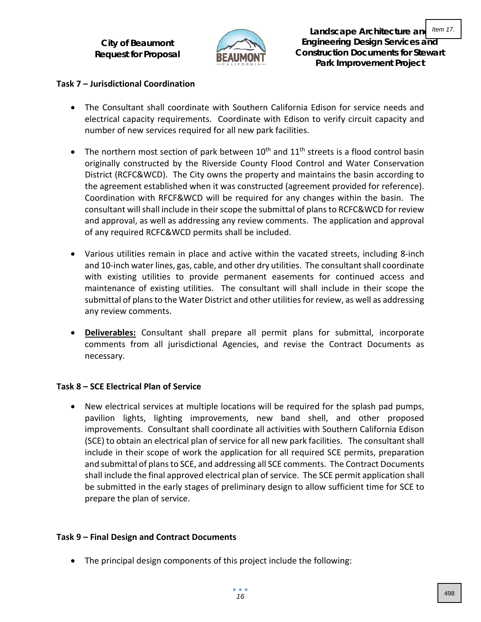

**Landscape Architecture and Engineering Design Services and Construction Documents for Stewart Park Improvement Project** Item 17.

### **Task 7 – Jurisdictional Coordination**

- The Consultant shall coordinate with Southern California Edison for service needs and electrical capacity requirements. Coordinate with Edison to verify circuit capacity and number of new services required for all new park facilities.
- The northern most section of park between  $10^{th}$  and  $11^{th}$  streets is a flood control basin originally constructed by the Riverside County Flood Control and Water Conservation District (RCFC&WCD). The City owns the property and maintains the basin according to the agreement established when it was constructed (agreement provided for reference). Coordination with RFCF&WCD will be required for any changes within the basin. The consultant will shall include in their scope the submittal of plans to RCFC&WCD for review and approval, as well as addressing any review comments. The application and approval of any required RCFC&WCD permits shall be included.
- Various utilities remain in place and active within the vacated streets, including 8-inch and 10-inch water lines, gas, cable, and other dry utilities. The consultant shall coordinate with existing utilities to provide permanent easements for continued access and maintenance of existing utilities. The consultant will shall include in their scope the submittal of plans to the Water District and other utilitiesfor review, as well as addressing any review comments.
- **Deliverables:** Consultant shall prepare all permit plans for submittal, incorporate comments from all jurisdictional Agencies, and revise the Contract Documents as necessary.

#### **Task 8 – SCE Electrical Plan of Service**

• New electrical services at multiple locations will be required for the splash pad pumps, pavilion lights, lighting improvements, new band shell, and other proposed improvements. Consultant shall coordinate all activities with Southern California Edison (SCE) to obtain an electrical plan of service for all new park facilities. The consultant shall include in their scope of work the application for all required SCE permits, preparation and submittal of plans to SCE, and addressing all SCE comments. The Contract Documents shall include the final approved electrical plan of service. The SCE permit application shall be submitted in the early stages of preliminary design to allow sufficient time for SCE to prepare the plan of service.

#### **Task 9 – Final Design and Contract Documents**

• The principal design components of this project include the following: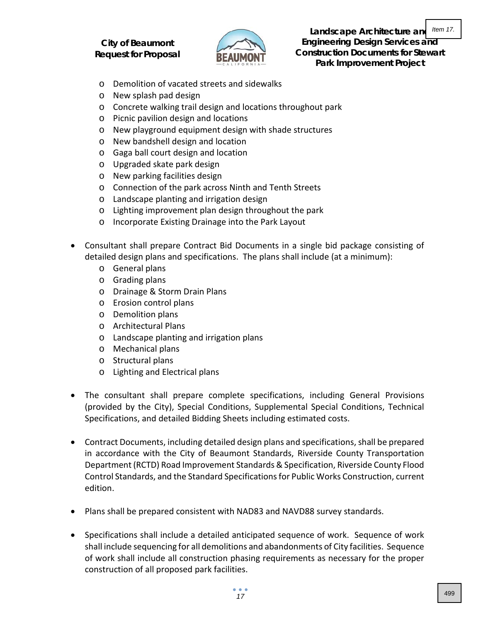

**Landscape Architecture and Engineering Design Services and Construction Documents for Stewart Park Improvement Project** Item 17.

- o Demolition of vacated streets and sidewalks
- o New splash pad design
- o Concrete walking trail design and locations throughout park
- o Picnic pavilion design and locations
- o New playground equipment design with shade structures
- o New bandshell design and location
- o Gaga ball court design and location
- o Upgraded skate park design
- o New parking facilities design
- o Connection of the park across Ninth and Tenth Streets
- o Landscape planting and irrigation design
- o Lighting improvement plan design throughout the park
- o Incorporate Existing Drainage into the Park Layout
- Consultant shall prepare Contract Bid Documents in a single bid package consisting of detailed design plans and specifications. The plans shall include (at a minimum):
	- o General plans
	- o Grading plans
	- o Drainage & Storm Drain Plans
	- o Erosion control plans
	- o Demolition plans
	- o Architectural Plans
	- o Landscape planting and irrigation plans
	- o Mechanical plans
	- o Structural plans
	- o Lighting and Electrical plans
- The consultant shall prepare complete specifications, including General Provisions (provided by the City), Special Conditions, Supplemental Special Conditions, Technical Specifications, and detailed Bidding Sheets including estimated costs.
- Contract Documents, including detailed design plans and specifications, shall be prepared in accordance with the City of Beaumont Standards, Riverside County Transportation Department (RCTD) Road Improvement Standards & Specification, Riverside County Flood Control Standards, and the Standard Specifications for Public Works Construction, current edition.
- Plans shall be prepared consistent with NAD83 and NAVD88 survey standards.
- Specifications shall include a detailed anticipated sequence of work. Sequence of work shall include sequencing for all demolitions and abandonments of City facilities. Sequence of work shall include all construction phasing requirements as necessary for the proper construction of all proposed park facilities.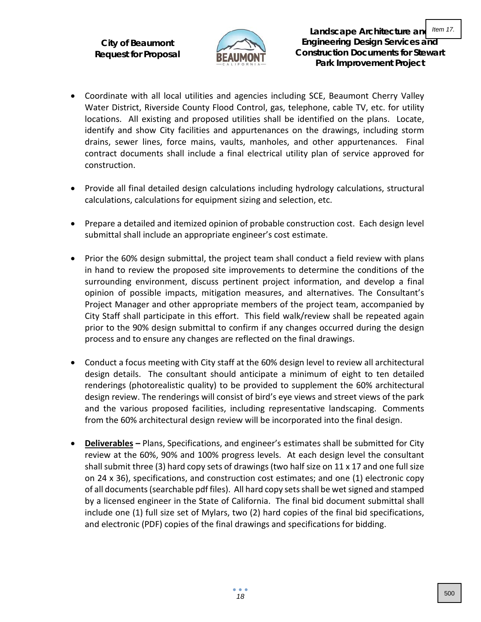

- Coordinate with all local utilities and agencies including SCE, Beaumont Cherry Valley Water District, Riverside County Flood Control, gas, telephone, cable TV, etc. for utility locations. All existing and proposed utilities shall be identified on the plans. Locate, identify and show City facilities and appurtenances on the drawings, including storm drains, sewer lines, force mains, vaults, manholes, and other appurtenances. Final contract documents shall include a final electrical utility plan of service approved for construction.
- Provide all final detailed design calculations including hydrology calculations, structural calculations, calculations for equipment sizing and selection, etc.
- Prepare a detailed and itemized opinion of probable construction cost. Each design level submittal shall include an appropriate engineer's cost estimate.
- Prior the 60% design submittal, the project team shall conduct a field review with plans in hand to review the proposed site improvements to determine the conditions of the surrounding environment, discuss pertinent project information, and develop a final opinion of possible impacts, mitigation measures, and alternatives. The Consultant's Project Manager and other appropriate members of the project team, accompanied by City Staff shall participate in this effort. This field walk/review shall be repeated again prior to the 90% design submittal to confirm if any changes occurred during the design process and to ensure any changes are reflected on the final drawings.
- Conduct a focus meeting with City staff at the 60% design level to review all architectural design details. The consultant should anticipate a minimum of eight to ten detailed renderings (photorealistic quality) to be provided to supplement the 60% architectural design review. The renderings will consist of bird's eye views and street views of the park and the various proposed facilities, including representative landscaping. Comments from the 60% architectural design review will be incorporated into the final design.
- **Deliverables –** Plans, Specifications, and engineer's estimates shall be submitted for City review at the 60%, 90% and 100% progress levels. At each design level the consultant shall submit three (3) hard copy sets of drawings (two half size on 11 x 17 and one full size on 24 x 36), specifications, and construction cost estimates; and one (1) electronic copy of all documents (searchable pdf files). All hard copy sets shall be wet signed and stamped by a licensed engineer in the State of California. The final bid document submittal shall include one (1) full size set of Mylars, two (2) hard copies of the final bid specifications, and electronic (PDF) copies of the final drawings and specifications for bidding.

*18*

 $\bullet$   $\bullet$   $\bullet$